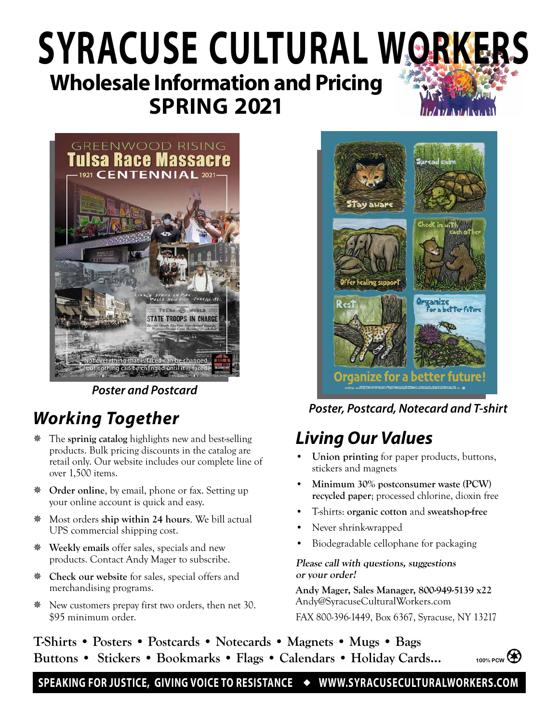# **Wholesale Information and Pricing SPRING 2021 SYRACUSE CULTURAL WORKERS**



*Poster and Postcard*

### *Working Together*

- The **sprinig catalog** highlights new and best-selling products. Bulk pricing discounts in the catalog are retail only. Our website includes our complete line of over 1,500 items.
- **Order online**, by email, phone or fax. Setting up your online account is quick and easy.
- Most orders **ship within 24 hours**. We bill actual UPS commercial shipping cost.
- **Weekly emails** offer sales, specials and new products. Contact Andy Mager to subscribe.
- **Check our website** for sales, special offers and merchandising programs.
- New customers prepay first two orders, then net 30. \$95 minimum order.



*Poster, Postcard, Notecard and T-shirt*

### *Living Our Values*

- **• Union printing** for paper products, buttons, stickers and magnets
- **• Minimum 30% postconsumer waste (PCW) recycled paper**; processed chlorine, dioxin free
- T-shirts: **organic cotton** and **sweatshop-free**
- Never shrink-wrapped
- Biodegradable cellophane for packaging

#### **Please call with questions, suggestions or your order!**

**Andy Mager, Sales Manager, 800-949-5139 x22** Andy@SyracuseCulturalWorkers.com FAX 800-396-1449, Box 6367, Syracuse, NY 13217

**T-Shirts • Posters • Postcards • Notecards • Magnets • Mugs • Bags Buttons • Stickers • Bookmarks • Flags • Calendars • Holiday Cards...**



SPEAKING FOR JUSTICE, GIVING VOICE TO RESISTANCE ◆ WWW.SYRACUSECULTURALWORKERS.COM